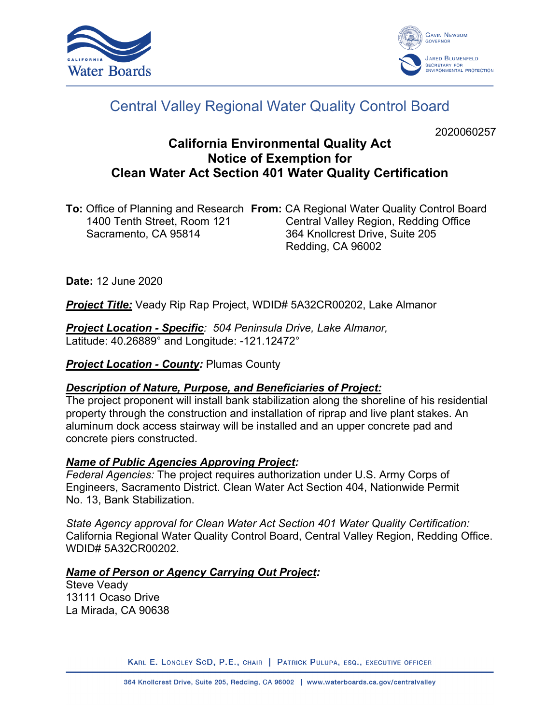



# Central Valley Regional Water Quality Control Board

2020060257

## **California Environmental Quality Act Notice of Exemption for Clean Water Act Section 401 Water Quality Certification**

**To:** Office of Planning and Research **From:** CA Regional Water Quality Control Board Central Valley Region, Redding Office Sacramento, CA 95814 364 Knollcrest Drive, Suite 205 Redding, CA 96002

**Date:** 12 June 2020

*Project Title:* Veady Rip Rap Project, WDID# 5A32CR00202, Lake Almanor

*Project Location - Specific: 504 Peninsula Drive, Lake Almanor,* Latitude: 40.26889° and Longitude: -121.12472°

**Project Location - County: Plumas County** 

### *Description of Nature, Purpose, and Beneficiaries of Project:*

The project proponent will install bank stabilization along the shoreline of his residential property through the construction and installation of riprap and live plant stakes. An aluminum dock access stairway will be installed and an upper concrete pad and concrete piers constructed.

### *Name of Public Agencies Approving Project:*

*Federal Agencies:* The project requires authorization under U.S. Army Corps of Engineers, Sacramento District. Clean Water Act Section 404, Nationwide Permit No. 13, Bank Stabilization.

*State Agency approval for Clean Water Act Section 401 Water Quality Certification:* California Regional Water Quality Control Board, Central Valley Region, Redding Office. WDID# 5A32CR00202.

### *Name of Person or Agency Carrying Out Project:*

Steve Veady 13111 Ocaso Drive La Mirada, CA 90638

KARL E. LONGLEY SCD, P.E., CHAIR | PATRICK PULUPA, ESQ., EXECUTIVE OFFICER